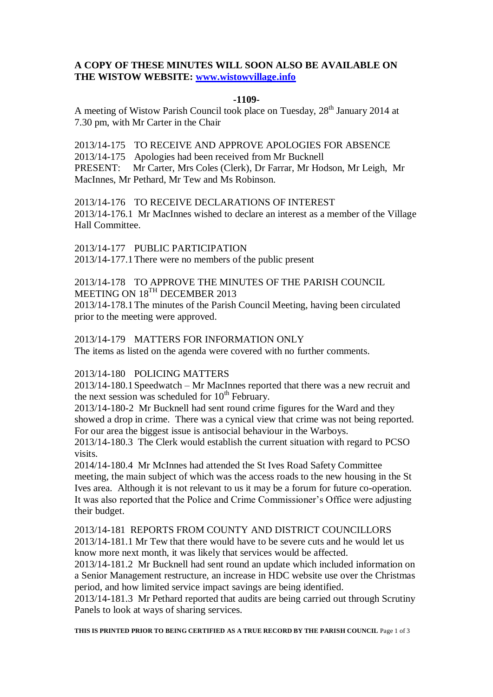# **A COPY OF THESE MINUTES WILL SOON ALSO BE AVAILABLE ON THE WISTOW WEBSITE: [www.wistowvillage.info](http://www.wistowvillage.info/)**

### **-1109-**

A meeting of Wistow Parish Council took place on Tuesday, 28<sup>th</sup> January 2014 at 7.30 pm, with Mr Carter in the Chair

2013/14-175 TO RECEIVE AND APPROVE APOLOGIES FOR ABSENCE 2013/14-175 Apologies had been received from Mr Bucknell PRESENT: Mr Carter, Mrs Coles (Clerk), Dr Farrar, Mr Hodson, Mr Leigh, Mr MacInnes, Mr Pethard, Mr Tew and Ms Robinson.

2013/14-176 TO RECEIVE DECLARATIONS OF INTEREST 2013/14-176.1 Mr MacInnes wished to declare an interest as a member of the Village Hall Committee.

2013/14-177 PUBLIC PARTICIPATION 2013/14-177.1There were no members of the public present

## 2013/14-178 TO APPROVE THE MINUTES OF THE PARISH COUNCIL MEETING ON 18<sup>TH</sup> DECEMBER 2013

2013/14-178.1The minutes of the Parish Council Meeting, having been circulated prior to the meeting were approved.

### 2013/14-179 MATTERS FOR INFORMATION ONLY

The items as listed on the agenda were covered with no further comments.

#### 2013/14-180 POLICING MATTERS

2013/14-180.1Speedwatch – Mr MacInnes reported that there was a new recruit and the next session was scheduled for  $10^{th}$  February.

2013/14-180-2 Mr Bucknell had sent round crime figures for the Ward and they showed a drop in crime. There was a cynical view that crime was not being reported. For our area the biggest issue is antisocial behaviour in the Warboys.

2013/14-180.3 The Clerk would establish the current situation with regard to PCSO visits.

2014/14-180.4 Mr McInnes had attended the St Ives Road Safety Committee meeting, the main subject of which was the access roads to the new housing in the St Ives area. Although it is not relevant to us it may be a forum for future co-operation. It was also reported that the Police and Crime Commissioner's Office were adjusting their budget.

# 2013/14-181 REPORTS FROM COUNTY AND DISTRICT COUNCILLORS

2013/14-181.1 Mr Tew that there would have to be severe cuts and he would let us know more next month, it was likely that services would be affected.

2013/14-181.2 Mr Bucknell had sent round an update which included information on a Senior Management restructure, an increase in HDC website use over the Christmas period, and how limited service impact savings are being identified.

2013/14-181.3 Mr Pethard reported that audits are being carried out through Scrutiny Panels to look at ways of sharing services.

**THIS IS PRINTED PRIOR TO BEING CERTIFIED AS A TRUE RECORD BY THE PARISH COUNCIL** Page 1 of 3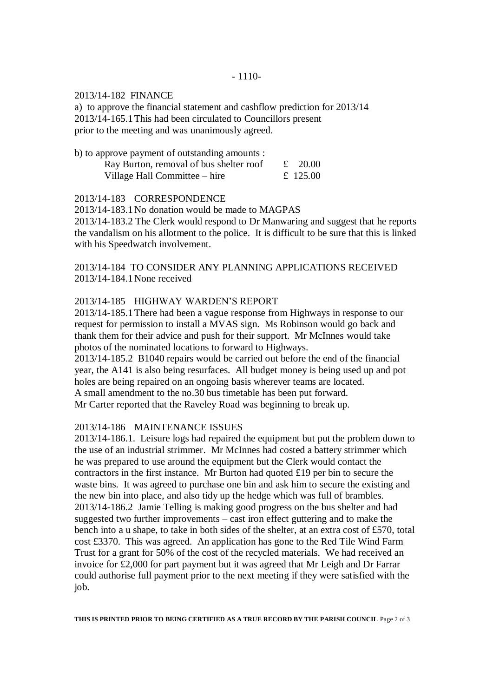#### 2013/14-182 FINANCE

a) to approve the financial statement and cashflow prediction for 2013/14 2013/14-165.1This had been circulated to Councillors present prior to the meeting and was unanimously agreed.

| b) to approve payment of outstanding amounts : |          |
|------------------------------------------------|----------|
| Ray Burton, removal of bus shelter roof        | £ 20.00  |
| Village Hall Committee – hire                  | £ 125.00 |

2013/14-183 CORRESPONDENCE

2013/14-183.1No donation would be made to MAGPAS

2013/14-183.2 The Clerk would respond to Dr Manwaring and suggest that he reports the vandalism on his allotment to the police. It is difficult to be sure that this is linked with his Speedwatch involvement.

2013/14-184 TO CONSIDER ANY PLANNING APPLICATIONS RECEIVED 2013/14-184.1None received

## 2013/14-185 HIGHWAY WARDEN'S REPORT

2013/14-185.1There had been a vague response from Highways in response to our request for permission to install a MVAS sign. Ms Robinson would go back and thank them for their advice and push for their support. Mr McInnes would take photos of the nominated locations to forward to Highways.

2013/14-185.2 B1040 repairs would be carried out before the end of the financial year, the A141 is also being resurfaces. All budget money is being used up and pot holes are being repaired on an ongoing basis wherever teams are located. A small amendment to the no.30 bus timetable has been put forward. Mr Carter reported that the Raveley Road was beginning to break up.

## 2013/14-186 MAINTENANCE ISSUES

2013/14-186.1. Leisure logs had repaired the equipment but put the problem down to the use of an industrial strimmer. Mr McInnes had costed a battery strimmer which he was prepared to use around the equipment but the Clerk would contact the contractors in the first instance. Mr Burton had quoted £19 per bin to secure the waste bins. It was agreed to purchase one bin and ask him to secure the existing and the new bin into place, and also tidy up the hedge which was full of brambles. 2013/14-186.2 Jamie Telling is making good progress on the bus shelter and had suggested two further improvements – cast iron effect guttering and to make the bench into a u shape, to take in both sides of the shelter, at an extra cost of £570, total cost £3370. This was agreed. An application has gone to the Red Tile Wind Farm Trust for a grant for 50% of the cost of the recycled materials. We had received an invoice for £2,000 for part payment but it was agreed that Mr Leigh and Dr Farrar could authorise full payment prior to the next meeting if they were satisfied with the job.

**THIS IS PRINTED PRIOR TO BEING CERTIFIED AS A TRUE RECORD BY THE PARISH COUNCIL** Page 2 of 3